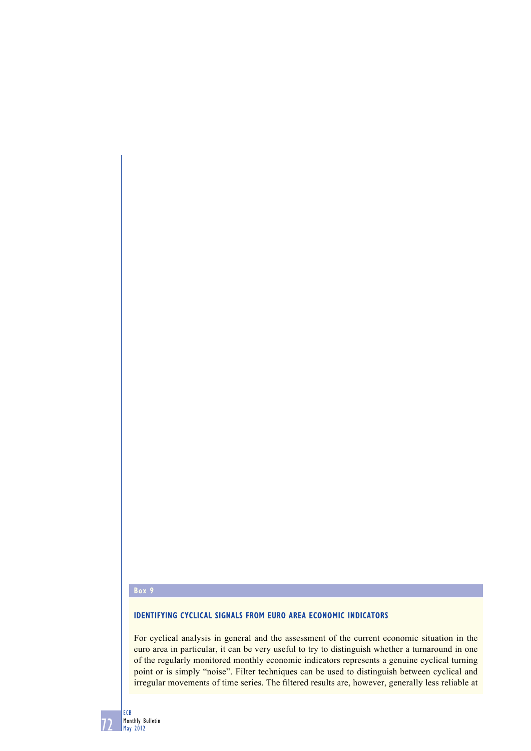# **Box 9**

## **IDENTIFYING CYCLICAL SIGNALS FROM EURO AREA ECONOMIC INDICATORS**

For cyclical analysis in general and the assessment of the current economic situation in the euro area in particular, it can be very useful to try to distinguish whether a turnaround in one of the regularly monitored monthly economic indicators represents a genuine cyclical turning point or is simply "noise". Filter techniques can be used to distinguish between cyclical and irregular movements of time series. The filtered results are, however, generally less reliable at

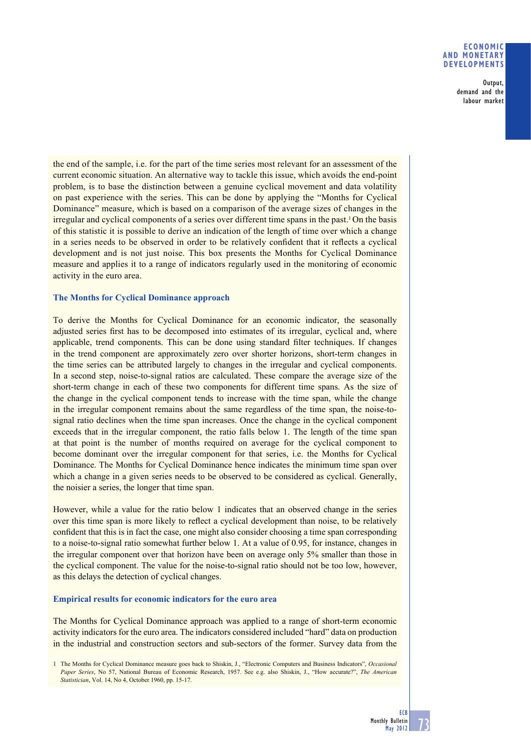### **ECONOMIC AND MONETARY DEVELOPMENTS**

Output, demand and the labour market

the end of the sample, i.e. for the part of the time series most relevant for an assessment of the current economic situation. An alternative way to tackle this issue, which avoids the end-point problem, is to base the distinction between a genuine cyclical movement and data volatility on past experience with the series. This can be done by applying the "Months for Cyclical Dominance" measure, which is based on a comparison of the average sizes of changes in the irregular and cyclical components of a series over different time spans in the past.<sup>1</sup> On the basis of this statistic it is possible to derive an indication of the length of time over which a change in a series needs to be observed in order to be relatively confident that it reflects a cyclical development and is not just noise. This box presents the Months for Cyclical Dominance measure and applies it to a range of indicators regularly used in the monitoring of economic activity in the euro area.

## **The Months for Cyclical Dominance approach**

To derive the Months for Cyclical Dominance for an economic indicator, the seasonally adjusted series first has to be decomposed into estimates of its irregular, cyclical and, where applicable, trend components. This can be done using standard filter techniques. If changes in the trend component are approximately zero over shorter horizons, short-term changes in the time series can be attributed largely to changes in the irregular and cyclical components. In a second step, noise-to-signal ratios are calculated. These compare the average size of the short-term change in each of these two components for different time spans. As the size of the change in the cyclical component tends to increase with the time span, while the change in the irregular component remains about the same regardless of the time span, the noise-tosignal ratio declines when the time span increases. Once the change in the cyclical component exceeds that in the irregular component, the ratio falls below 1. The length of the time span at that point is the number of months required on average for the cyclical component to become dominant over the irregular component for that series, i.e. the Months for Cyclical Dominance. The Months for Cyclical Dominance hence indicates the minimum time span over which a change in a given series needs to be observed to be considered as cyclical. Generally, the noisier a series, the longer that time span.

However, while a value for the ratio below 1 indicates that an observed change in the series over this time span is more likely to reflect a cyclical development than noise, to be relatively confident that this is in fact the case, one might also consider choosing a time span corresponding to a noise-to-signal ratio somewhat further below 1. At a value of 0.95, for instance, changes in the irregular component over that horizon have been on average only 5% smaller than those in the cyclical component. The value for the noise-to-signal ratio should not be too low, however, as this delays the detection of cyclical changes.

## **Empirical results for economic indicators for the euro area**

The Months for Cyclical Dominance approach was applied to a range of short-term economic activity indicators for the euro area. The indicators considered included "hard" data on production in the industrial and construction sectors and sub-sectors of the former. Survey data from the

<sup>1</sup> The Months for Cyclical Dominance measure goes back to Shiskin, J., "Electronic Computers and Business Indicators", *Occasional Paper Series*, No 57, National Bureau of Economic Research, 1957. See e.g. also Shiskin, J., "How accurate?", *The American Statistician*, Vol. 14, No 4, October 1960, pp. 15-17.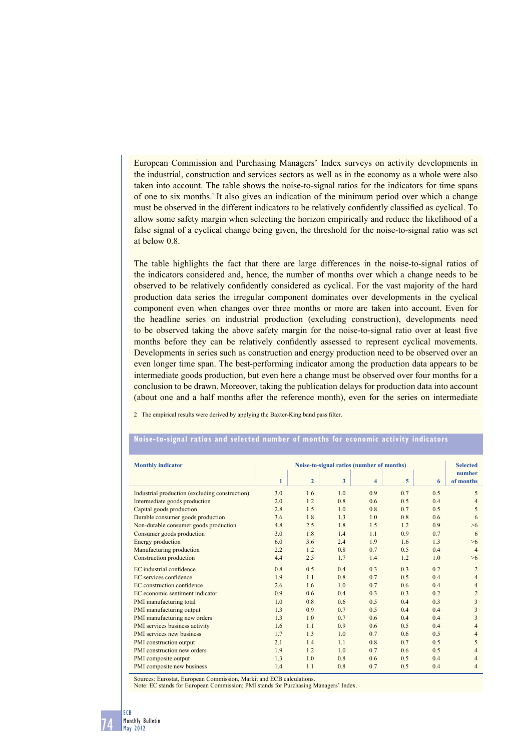European Commission and Purchasing Managers' Index surveys on activity developments in the industrial, construction and services sectors as well as in the economy as a whole were also taken into account. The table shows the noise-to-signal ratios for the indicators for time spans of one to six months.2 It also gives an indication of the minimum period over which a change must be observed in the different indicators to be relatively confidently classified as cyclical. To allow some safety margin when selecting the horizon empirically and reduce the likelihood of a false signal of a cyclical change being given, the threshold for the noise-to-signal ratio was set at below 0.8.

The table highlights the fact that there are large differences in the noise-to-signal ratios of the indicators considered and, hence, the number of months over which a change needs to be observed to be relatively confidently considered as cyclical. For the vast majority of the hard production data series the irregular component dominates over developments in the cyclical component even when changes over three months or more are taken into account. Even for the headline series on industrial production (excluding construction), developments need to be observed taking the above safety margin for the noise-to-signal ratio over at least five months before they can be relatively confidently assessed to represent cyclical movements. Developments in series such as construction and energy production need to be observed over an even longer time span. The best-performing indicator among the production data appears to be intermediate goods production, but even here a change must be observed over four months for a conclusion to be drawn. Moreover, taking the publication delays for production data into account (about one and a half months after the reference month), even for the series on intermediate

2 The empirical results were derived by applying the Baxter-King band pass filter.

#### **Noise-to-signal ratios and selected number of months for economic activity indicators**

| <b>Monthly indicator</b>                       | Noise-to-signal ratios (number of months) |                |     |                         |     |     | <b>Selected</b><br>number |
|------------------------------------------------|-------------------------------------------|----------------|-----|-------------------------|-----|-----|---------------------------|
|                                                | $\mathbf{1}$                              | $\overline{2}$ | 3   | $\overline{\mathbf{4}}$ | 5   | 6   | of months                 |
| Industrial production (excluding construction) | 3.0                                       | 1.6            | 1.0 | 0.9                     | 0.7 | 0.5 | 5                         |
| Intermediate goods production                  | 2.0                                       | 1.2            | 0.8 | 0.6                     | 0.5 | 0.4 | $\overline{4}$            |
| Capital goods production                       | 2.8                                       | 1.5            | 1.0 | 0.8                     | 0.7 | 0.5 | 5                         |
| Durable consumer goods production              | 3.6                                       | 1.8            | 1.3 | 1.0                     | 0.8 | 0.6 | 6                         |
| Non-durable consumer goods production          | 4.8                                       | 2.5            | 1.8 | 1.5                     | 1.2 | 0.9 | $>6$                      |
| Consumer goods production                      | 3.0                                       | 1.8            | 1.4 | 1.1                     | 0.9 | 0.7 | 6                         |
| Energy production                              | 6.0                                       | 3.6            | 2.4 | 1.9                     | 1.6 | 1.3 | $>6$                      |
| Manufacturing production                       | 2.2                                       | 1.2            | 0.8 | 0.7                     | 0.5 | 0.4 | $\overline{4}$            |
| Construction production                        | 4.4                                       | 2.5            | 1.7 | 1.4                     | 1.2 | 1.0 | >6                        |
| EC industrial confidence                       | 0.8                                       | 0.5            | 0.4 | 0.3                     | 0.3 | 0.2 | $\overline{2}$            |
| EC services confidence                         | 1.9                                       | 1.1            | 0.8 | 0.7                     | 0.5 | 0.4 | $\overline{4}$            |
| EC construction confidence                     | 2.6                                       | 1.6            | 1.0 | 0.7                     | 0.6 | 0.4 | $\overline{4}$            |
| EC economic sentiment indicator                | 0.9                                       | 0.6            | 0.4 | 0.3                     | 0.3 | 0.2 | $\overline{2}$            |
| PMI manufacturing total                        | 1.0                                       | 0.8            | 0.6 | 0.5                     | 0.4 | 0.3 | 3                         |
| PMI manufacturing output                       | 1.3                                       | 0.9            | 0.7 | 0.5                     | 0.4 | 0.4 | 3                         |
| PMI manufacturing new orders                   | 1.3                                       | 1.0            | 0.7 | 0.6                     | 0.4 | 0.4 | 3                         |
| PMI services business activity                 | 1.6                                       | 1.1            | 0.9 | 0.6                     | 0.5 | 0.4 | $\overline{4}$            |
| PMI services new business                      | 1.7                                       | 1.3            | 1.0 | 0.7                     | 0.6 | 0.5 | 4                         |
| PMI construction output                        | 2.1                                       | 1.4            | 1.1 | 0.8                     | 0.7 | 0.5 | 5                         |
| PMI construction new orders                    | 1.9                                       | 1.2            | 1.0 | 0.7                     | 0.6 | 0.5 | 4                         |
| PMI composite output                           | 1.3                                       | 1.0            | 0.8 | 0.6                     | 0.5 | 0.4 | $\overline{4}$            |
| PMI composite new business                     | 1.4                                       | 1.1            | 0.8 | 0.7                     | 0.5 | 0.4 | 4                         |

Sources: Eurostat, European Commission, Markit and ECB calculations. Note: EC stands for European Commission; PMI stands for Purchasing Managers' Index.

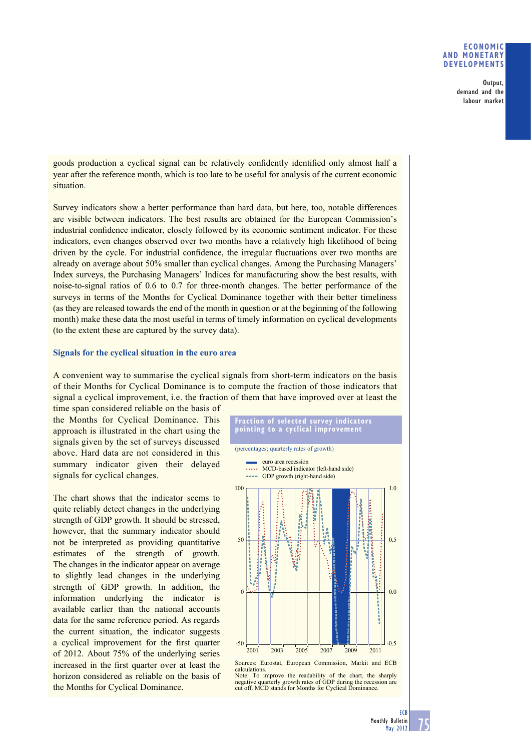#### **ECONOMIC AND MONETARY DEVELOPMENTS**

Output, demand and the labour market

goods production a cyclical signal can be relatively confidently identified only almost half a year after the reference month, which is too late to be useful for analysis of the current economic situation.

Survey indicators show a better performance than hard data, but here, too, notable differences are visible between indicators. The best results are obtained for the European Commission's industrial confidence indicator, closely followed by its economic sentiment indicator. For these indicators, even changes observed over two months have a relatively high likelihood of being driven by the cycle. For industrial confidence, the irregular fluctuations over two months are already on average about 50% smaller than cyclical changes. Among the Purchasing Managers' Index surveys, the Purchasing Managers' Indices for manufacturing show the best results, with noise-to-signal ratios of 0.6 to 0.7 for three-month changes. The better performance of the surveys in terms of the Months for Cyclical Dominance together with their better timeliness (as they are released towards the end of the month in question or at the beginning of the following month) make these data the most useful in terms of timely information on cyclical developments (to the extent these are captured by the survey data).

### **Signals for the cyclical situation in the euro area**

A convenient way to summarise the cyclical signals from short-term indicators on the basis of their Months for Cyclical Dominance is to compute the fraction of those indicators that signal a cyclical improvement, i.e. the fraction of them that have improved over at least the

time span considered reliable on the basis of the Months for Cyclical Dominance. This approach is illustrated in the chart using the signals given by the set of surveys discussed above. Hard data are not considered in this summary indicator given their delayed signals for cyclical changes.

The chart shows that the indicator seems to quite reliably detect changes in the underlying strength of GDP growth. It should be stressed, however, that the summary indicator should not be interpreted as providing quantitative estimates of the strength of growth. The changes in the indicator appear on average to slightly lead changes in the underlying strength of GDP growth. In addition, the information underlying the indicator is available earlier than the national accounts data for the same reference period. As regards the current situation, the indicator suggests a cyclical improvement for the first quarter of 2012. About 75% of the underlying series increased in the first quarter over at least the horizon considered as reliable on the basis of the Months for Cyclical Dominance.





75 **ECB**